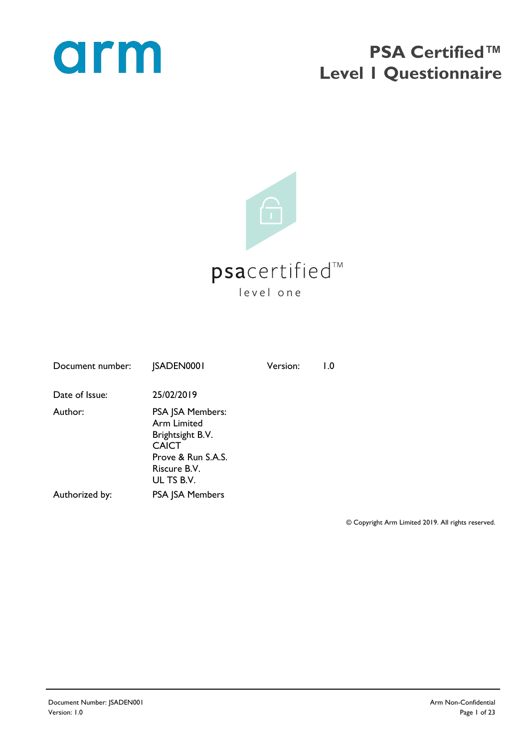

### **PSA Certified™ Level 1 Questionnaire**



| <b>JSADEN0001</b>                                                                                                              | Version: | $\mathsf{L}0$ |
|--------------------------------------------------------------------------------------------------------------------------------|----------|---------------|
| 25/02/2019                                                                                                                     |          |               |
| PSA JSA Members:<br><b>Arm Limited</b><br>Brightsight B.V.<br><b>CAICT</b><br>Prove & Run S.A.S.<br>Riscure B.V.<br>UL TS B.V. |          |               |
| <b>PSA JSA Members</b>                                                                                                         |          |               |
|                                                                                                                                |          |               |

© Copyright Arm Limited 2019. All rights reserved.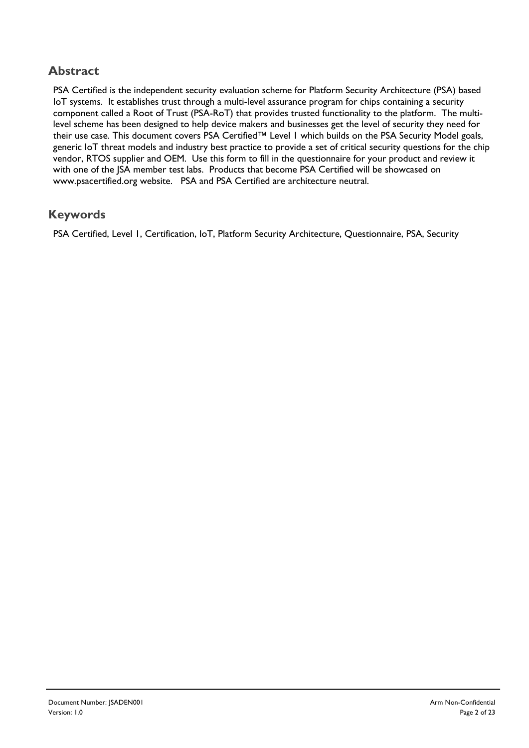#### **Abstract**

PSA Certified is the independent security evaluation scheme for Platform Security Architecture (PSA) based IoT systems. It establishes trust through a multi-level assurance program for chips containing a security component called a Root of Trust (PSA-RoT) that provides trusted functionality to the platform. The multilevel scheme has been designed to help device makers and businesses get the level of security they need for their use case. This document covers PSA Certified™ Level I which builds on the PSA Security Model goals, generic IoT threat models and industry best practice to provide a set of critical security questions for the chip vendor, RTOS supplier and OEM. Use this form to fill in the questionnaire for your product and review it with one of the JSA member test labs. Products that become PSA Certified will be showcased on www.psacertified.org website. PSA and PSA Certified are architecture neutral.

#### **Keywords**

PSA Certified, Level 1, Certification, IoT, Platform Security Architecture, Questionnaire, PSA, Security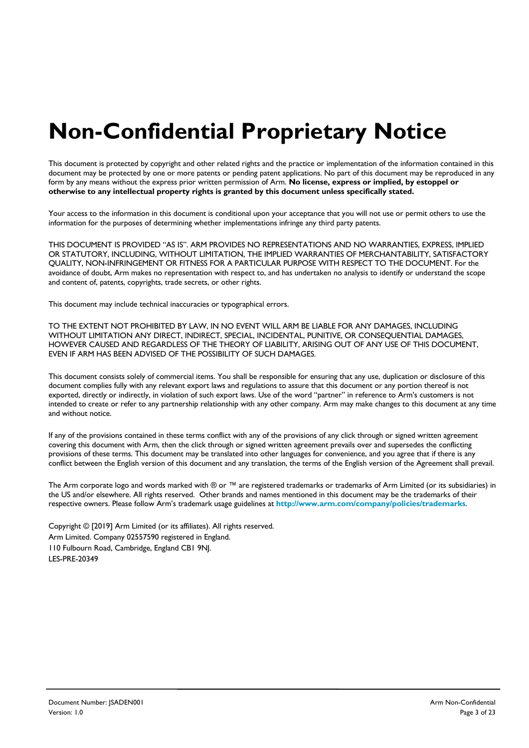# **Non-Confidential Proprietary Notice**

This document is protected by copyright and other related rights and the practice or implementation of the information contained in this document may be protected by one or more patents or pending patent applications. No part of this document may be reproduced in any form by any means without the express prior written permission of Arm. **No license, express or implied, by estoppel or otherwise to any intellectual property rights is granted by this document unless specifically stated.**

Your access to the information in this document is conditional upon your acceptance that you will not use or permit others to use the information for the purposes of determining whether implementations infringe any third party patents.

THIS DOCUMENT IS PROVIDED "AS IS". ARM PROVIDES NO REPRESENTATIONS AND NO WARRANTIES, EXPRESS, IMPLIED OR STATUTORY, INCLUDING, WITHOUT LIMITATION, THE IMPLIED WARRANTIES OF MERCHANTABILITY, SATISFACTORY QUALITY, NON-INFRINGEMENT OR FITNESS FOR A PARTICULAR PURPOSE WITH RESPECT TO THE DOCUMENT. For the avoidance of doubt, Arm makes no representation with respect to, and has undertaken no analysis to identify or understand the scope and content of, patents, copyrights, trade secrets, or other rights.

This document may include technical inaccuracies or typographical errors.

TO THE EXTENT NOT PROHIBITED BY LAW, IN NO EVENT WILL ARM BE LIABLE FOR ANY DAMAGES, INCLUDING WITHOUT LIMITATION ANY DIRECT, INDIRECT, SPECIAL, INCIDENTAL, PUNITIVE, OR CONSEQUENTIAL DAMAGES, HOWEVER CAUSED AND REGARDLESS OF THE THEORY OF LIABILITY, ARISING OUT OF ANY USE OF THIS DOCUMENT, EVEN IF ARM HAS BEEN ADVISED OF THE POSSIBILITY OF SUCH DAMAGES.

This document consists solely of commercial items. You shall be responsible for ensuring that any use, duplication or disclosure of this document complies fully with any relevant export laws and regulations to assure that this document or any portion thereof is not exported, directly or indirectly, in violation of such export laws. Use of the word "partner" in reference to Arm's customers is not intended to create or refer to any partnership relationship with any other company. Arm may make changes to this document at any time and without notice.

If any of the provisions contained in these terms conflict with any of the provisions of any click through or signed written agreement covering this document with Arm, then the click through or signed written agreement prevails over and supersedes the conflicting provisions of these terms. This document may be translated into other languages for convenience, and you agree that if there is any conflict between the English version of this document and any translation, the terms of the English version of the Agreement shall prevail.

The Arm corporate logo and words marked with ® or ™ are registered trademarks or trademarks of Arm Limited (or its subsidiaries) in the US and/or elsewhere. All rights reserved. Other brands and names mentioned in this document may be the trademarks of their respective owners. Please follow Arm's trademark usage guidelines at **http://www.arm.com/company/policies/trademarks**.

Copyright © [2019] Arm Limited (or its affiliates). All rights reserved. Arm Limited. Company 02557590 registered in England. 110 Fulbourn Road, Cambridge, England CB1 9NJ. LES-PRE-20349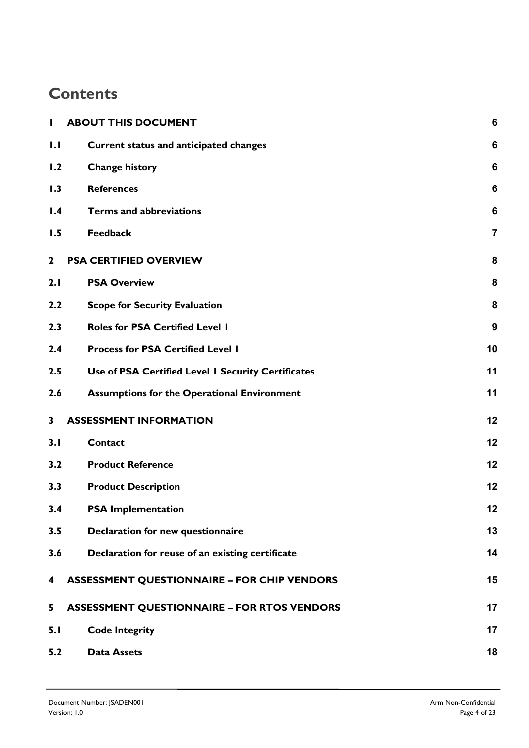### **Contents**

| $\mathbf{I}$            | <b>ABOUT THIS DOCUMENT</b>                         | 6               |
|-------------------------|----------------------------------------------------|-----------------|
| 1.1                     | <b>Current status and anticipated changes</b>      | 6               |
| 1.2                     | <b>Change history</b>                              | 6               |
| 1.3                     | <b>References</b>                                  | $6\phantom{1}6$ |
| 1.4                     | <b>Terms and abbreviations</b>                     | $6\phantom{1}6$ |
| 1.5                     | <b>Feedback</b>                                    | $\overline{7}$  |
| $\mathbf{2}$            | <b>PSA CERTIFIED OVERVIEW</b>                      | 8               |
| 2.1                     | <b>PSA Overview</b>                                | 8               |
| 2.2                     | <b>Scope for Security Evaluation</b>               | 8               |
| 2.3                     | <b>Roles for PSA Certified Level I</b>             | 9               |
| 2.4                     | <b>Process for PSA Certified Level I</b>           | 10              |
| 2.5                     | Use of PSA Certified Level I Security Certificates | 11              |
| 2.6                     | <b>Assumptions for the Operational Environment</b> | 11              |
| $\overline{\mathbf{3}}$ | <b>ASSESSMENT INFORMATION</b>                      | 12              |
| 3.1                     | <b>Contact</b>                                     | 12              |
| 3.2                     | <b>Product Reference</b>                           | 12              |
| 3.3                     | <b>Product Description</b>                         | 12              |
| 3.4                     | <b>PSA Implementation</b>                          | 12              |
| 3.5                     | Declaration for new questionnaire                  | 13              |
| 3.6                     | Declaration for reuse of an existing certificate   | 14              |
| 4                       | <b>ASSESSMENT QUESTIONNAIRE - FOR CHIP VENDORS</b> | 15              |
| 5                       | <b>ASSESSMENT QUESTIONNAIRE - FOR RTOS VENDORS</b> | 17              |
| 5.1                     | <b>Code Integrity</b>                              | 17              |
| 5.2                     | <b>Data Assets</b>                                 | 18              |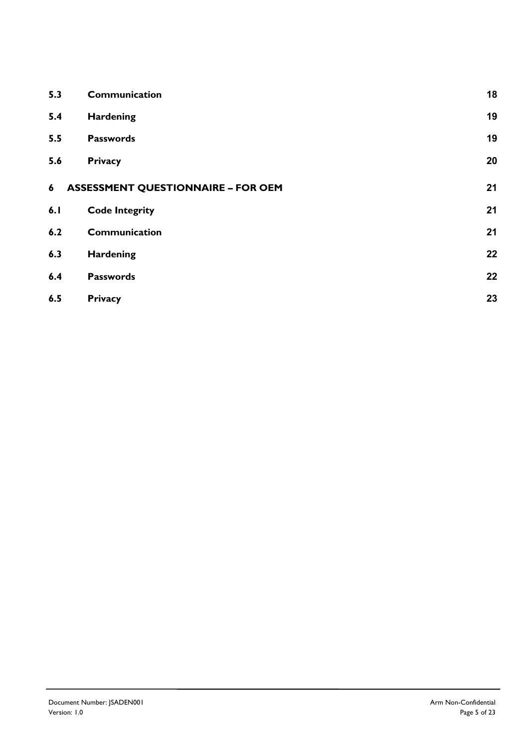| 5.3 | Communication                             | 18 |
|-----|-------------------------------------------|----|
| 5.4 | <b>Hardening</b>                          | 19 |
| 5.5 | <b>Passwords</b>                          | 19 |
| 5.6 | <b>Privacy</b>                            | 20 |
| 6   | <b>ASSESSMENT QUESTIONNAIRE - FOR OEM</b> | 21 |
| 6.1 | <b>Code Integrity</b>                     | 21 |
| 6.2 | Communication                             | 21 |
| 6.3 | Hardening                                 | 22 |
| 6.4 | <b>Passwords</b>                          | 22 |
| 6.5 | <b>Privacy</b>                            | 23 |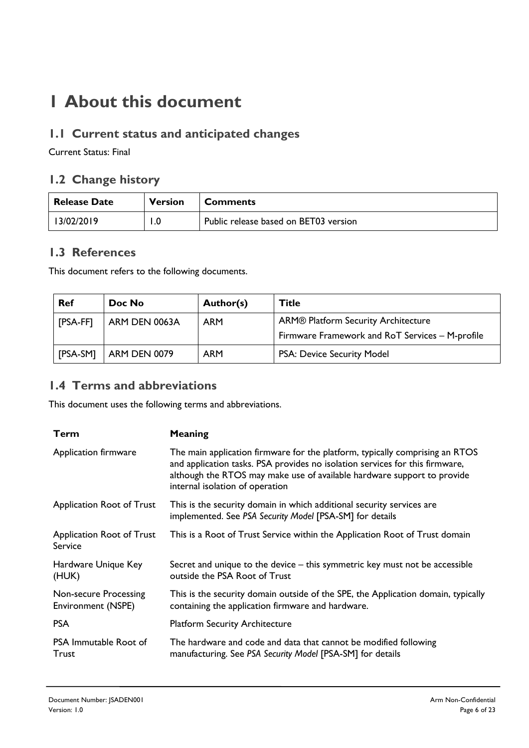### **1 About this document**

#### **1.1 Current status and anticipated changes**

Current Status: Final

#### **1.2 Change history**

| <b>Release Date</b> | <b>Version</b> | <b>Comments</b>                       |
|---------------------|----------------|---------------------------------------|
| 13/02/2019          | 1.0            | Public release based on BET03 version |

#### **1.3 References**

This document refers to the following documents.

| <b>Ref</b> | Doc No        | Author(s)  | <b>Title</b>                                    |
|------------|---------------|------------|-------------------------------------------------|
| [PSA-FF]   | ARM DEN 0063A | <b>ARM</b> | ARM® Platform Security Architecture             |
|            |               |            | Firmware Framework and RoT Services - M-profile |
| [PSA-SM]   | ARM DEN 0079  | <b>ARM</b> | PSA: Device Security Model                      |

#### **1.4 Terms and abbreviations**

This document uses the following terms and abbreviations.

| Term                                        | Meaning                                                                                                                                                                                                                                                                    |
|---------------------------------------------|----------------------------------------------------------------------------------------------------------------------------------------------------------------------------------------------------------------------------------------------------------------------------|
| Application firmware                        | The main application firmware for the platform, typically comprising an RTOS<br>and application tasks. PSA provides no isolation services for this firmware,<br>although the RTOS may make use of available hardware support to provide<br>internal isolation of operation |
| Application Root of Trust                   | This is the security domain in which additional security services are<br>implemented. See PSA Security Model [PSA-SM] for details                                                                                                                                          |
| Application Root of Trust<br>Service        | This is a Root of Trust Service within the Application Root of Trust domain                                                                                                                                                                                                |
| Hardware Unique Key<br>(HUK)                | Secret and unique to the device – this symmetric key must not be accessible<br>outside the PSA Root of Trust                                                                                                                                                               |
| Non-secure Processing<br>Environment (NSPE) | This is the security domain outside of the SPE, the Application domain, typically<br>containing the application firmware and hardware.                                                                                                                                     |
| <b>PSA</b>                                  | <b>Platform Security Architecture</b>                                                                                                                                                                                                                                      |
| <b>PSA Immutable Root of</b><br>Trust       | The hardware and code and data that cannot be modified following<br>manufacturing. See PSA Security Model [PSA-SM] for details                                                                                                                                             |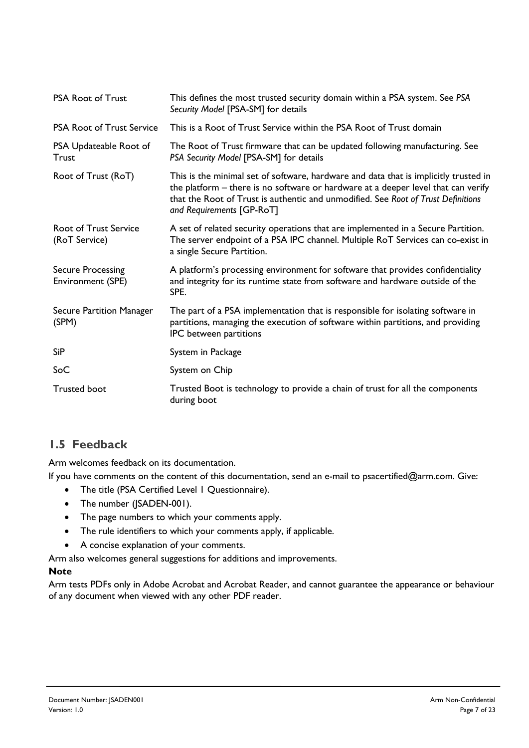| <b>PSA Root of Trust</b>                      | This defines the most trusted security domain within a PSA system. See PSA<br>Security Model [PSA-SM] for details                                                                                                                                                                           |
|-----------------------------------------------|---------------------------------------------------------------------------------------------------------------------------------------------------------------------------------------------------------------------------------------------------------------------------------------------|
| <b>PSA Root of Trust Service</b>              | This is a Root of Trust Service within the PSA Root of Trust domain                                                                                                                                                                                                                         |
| PSA Updateable Root of<br><b>Trust</b>        | The Root of Trust firmware that can be updated following manufacturing. See<br>PSA Security Model [PSA-SM] for details                                                                                                                                                                      |
| Root of Trust (RoT)                           | This is the minimal set of software, hardware and data that is implicitly trusted in<br>the platform - there is no software or hardware at a deeper level that can verify<br>that the Root of Trust is authentic and unmodified. See Root of Trust Definitions<br>and Requirements [GP-RoT] |
| <b>Root of Trust Service</b><br>(RoT Service) | A set of related security operations that are implemented in a Secure Partition.<br>The server endpoint of a PSA IPC channel. Multiple RoT Services can co-exist in<br>a single Secure Partition.                                                                                           |
| <b>Secure Processing</b><br>Environment (SPE) | A platform's processing environment for software that provides confidentiality<br>and integrity for its runtime state from software and hardware outside of the<br>SPE.                                                                                                                     |
| Secure Partition Manager<br>(SPM)             | The part of a PSA implementation that is responsible for isolating software in<br>partitions, managing the execution of software within partitions, and providing<br>IPC between partitions                                                                                                 |
| <b>SiP</b>                                    | System in Package                                                                                                                                                                                                                                                                           |
| SoC                                           | System on Chip                                                                                                                                                                                                                                                                              |
| <b>Trusted boot</b>                           | Trusted Boot is technology to provide a chain of trust for all the components<br>during boot                                                                                                                                                                                                |

#### **1.5 Feedback**

Arm welcomes feedback on its documentation.

If you have comments on the content of this documentation, send an e-mail to psacertified@arm.com. Give:

- The title (PSA Certified Level 1 Questionnaire).
- The number (JSADEN-001).
- The page numbers to which your comments apply.
- The rule identifiers to which your comments apply, if applicable.
- A concise explanation of your comments.

Arm also welcomes general suggestions for additions and improvements.

#### **Note**

Arm tests PDFs only in Adobe Acrobat and Acrobat Reader, and cannot guarantee the appearance or behaviour of any document when viewed with any other PDF reader.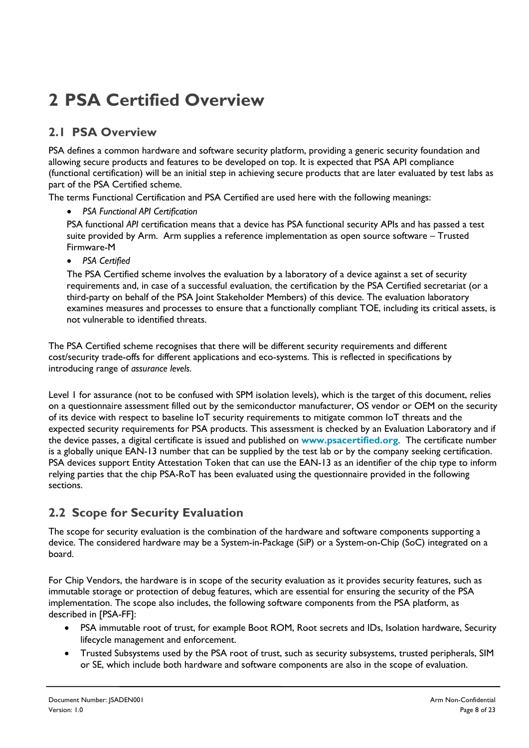## **2 PSA Certified Overview**

#### **2.1 PSA Overview**

PSA defines a common hardware and software security platform, providing a generic security foundation and allowing secure products and features to be developed on top. It is expected that PSA API compliance (functional certification) will be an initial step in achieving secure products that are later evaluated by test labs as part of the PSA Certified scheme.

The terms Functional Certification and PSA Certified are used here with the following meanings:

• *PSA Functional API Certification*

PSA functional *API* certification means that a device has PSA functional security APIs and has passed a test suite provided by Arm. Arm supplies a reference implementation as open source software – Trusted Firmware-M

• *PSA Certified*

The PSA Certified scheme involves the evaluation by a laboratory of a device against a set of security requirements and, in case of a successful evaluation, the certification by the PSA Certified secretariat (or a third-party on behalf of the PSA Joint Stakeholder Members) of this device. The evaluation laboratory examines measures and processes to ensure that a functionally compliant TOE, including its critical assets, is not vulnerable to identified threats.

The PSA Certified scheme recognises that there will be different security requirements and different cost/security trade-offs for different applications and eco-systems. This is reflected in specifications by introducing range of *assurance levels*.

Level 1 for assurance (not to be confused with SPM isolation levels), which is the target of this document, relies on a questionnaire assessment filled out by the semiconductor manufacturer, OS vendor or OEM on the security of its device with respect to baseline IoT security requirements to mitigate common IoT threats and the expected security requirements for PSA products. This assessment is checked by an Evaluation Laboratory and if the device passes, a digital certificate is issued and published on **www.psacertified.org**. The certificate number is a globally unique EAN-13 number that can be supplied by the test lab or by the company seeking certification. PSA devices support Entity Attestation Token that can use the EAN-13 as an identifier of the chip type to inform relying parties that the chip PSA-RoT has been evaluated using the questionnaire provided in the following sections.

#### **2.2 Scope for Security Evaluation**

The scope for security evaluation is the combination of the hardware and software components supporting a device. The considered hardware may be a System-in-Package (SiP) or a System-on-Chip (SoC) integrated on a board.

For Chip Vendors, the hardware is in scope of the security evaluation as it provides security features, such as immutable storage or protection of debug features, which are essential for ensuring the security of the PSA implementation. The scope also includes, the following software components from the PSA platform, as described in [PSA-FF]:

- PSA immutable root of trust, for example Boot ROM, Root secrets and IDs, Isolation hardware, Security lifecycle management and enforcement.
- Trusted Subsystems used by the PSA root of trust, such as security subsystems, trusted peripherals, SIM or SE, which include both hardware and software components are also in the scope of evaluation.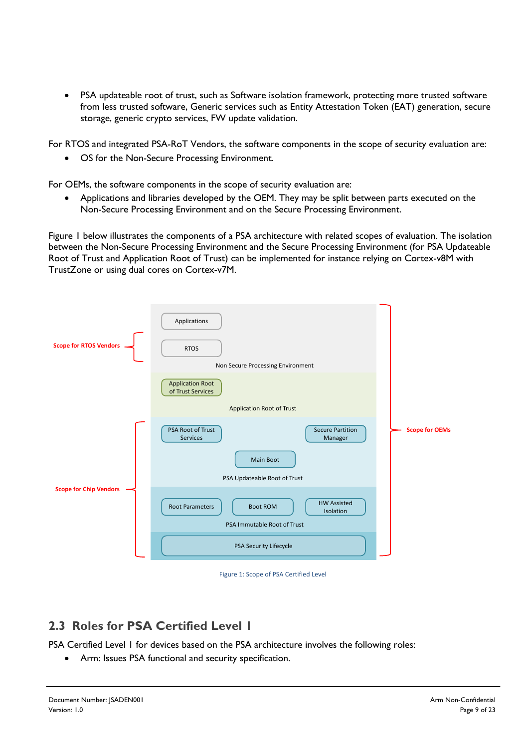• PSA updateable root of trust, such as Software isolation framework, protecting more trusted software from less trusted software, Generic services such as Entity Attestation Token (EAT) generation, secure storage, generic crypto services, FW update validation.

For RTOS and integrated PSA-RoT Vendors, the software components in the scope of security evaluation are:

• OS for the Non-Secure Processing Environment.

For OEMs, the software components in the scope of security evaluation are:

• Applications and libraries developed by the OEM. They may be split between parts executed on the Non-Secure Processing Environment and on the Secure Processing Environment.

Figure 1 below illustrates the components of a PSA architecture with related scopes of evaluation. The isolation between the Non-Secure Processing Environment and the Secure Processing Environment (for PSA Updateable Root of Trust and Application Root of Trust) can be implemented for instance relying on Cortex-v8M with TrustZone or using dual cores on Cortex-v7M.



Figure 1: Scope of PSA Certified Level

#### **2.3 Roles for PSA Certified Level 1**

PSA Certified Level 1 for devices based on the PSA architecture involves the following roles:

• Arm: Issues PSA functional and security specification.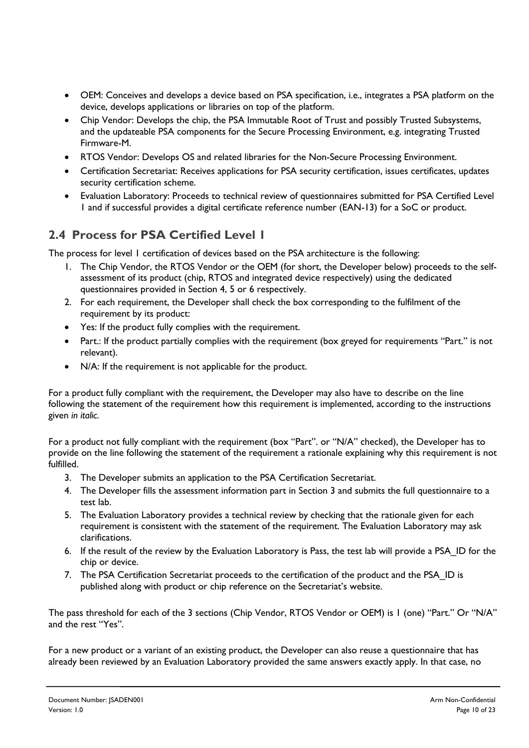- OEM: Conceives and develops a device based on PSA specification, i.e., integrates a PSA platform on the device, develops applications or libraries on top of the platform.
- Chip Vendor: Develops the chip, the PSA Immutable Root of Trust and possibly Trusted Subsystems, and the updateable PSA components for the Secure Processing Environment, e.g. integrating Trusted Firmware-M.
- RTOS Vendor: Develops OS and related libraries for the Non-Secure Processing Environment.
- Certification Secretariat: Receives applications for PSA security certification, issues certificates, updates security certification scheme.
- Evaluation Laboratory: Proceeds to technical review of questionnaires submitted for PSA Certified Level 1 and if successful provides a digital certificate reference number (EAN-13) for a SoC or product.

#### **2.4 Process for PSA Certified Level 1**

The process for level 1 certification of devices based on the PSA architecture is the following:

- 1. The Chip Vendor, the RTOS Vendor or the OEM (for short, the Developer below) proceeds to the selfassessment of its product (chip, RTOS and integrated device respectively) using the dedicated questionnaires provided in Section 4, 5 or 6 respectively.
- 2. For each requirement, the Developer shall check the box corresponding to the fulfilment of the requirement by its product:
- Yes: If the product fully complies with the requirement.
- Part.: If the product partially complies with the requirement (box greyed for requirements "Part." is not relevant).
- N/A: If the requirement is not applicable for the product.

For a product fully compliant with the requirement, the Developer may also have to describe on the line following the statement of the requirement how this requirement is implemented, according to the instructions given *in italic*.

For a product not fully compliant with the requirement (box "Part". or "N/A" checked), the Developer has to provide on the line following the statement of the requirement a rationale explaining why this requirement is not fulfilled.

- 3. The Developer submits an application to the PSA Certification Secretariat.
- 4. The Developer fills the assessment information part in Section 3 and submits the full questionnaire to a test lab.
- 5. The Evaluation Laboratory provides a technical review by checking that the rationale given for each requirement is consistent with the statement of the requirement. The Evaluation Laboratory may ask clarifications.
- 6. If the result of the review by the Evaluation Laboratory is Pass, the test lab will provide a PSA\_ID for the chip or device.
- 7. The PSA Certification Secretariat proceeds to the certification of the product and the PSA ID is published along with product or chip reference on the Secretariat's website.

The pass threshold for each of the 3 sections (Chip Vendor, RTOS Vendor or OEM) is 1 (one) "Part." Or "N/A" and the rest "Yes".

For a new product or a variant of an existing product, the Developer can also reuse a questionnaire that has already been reviewed by an Evaluation Laboratory provided the same answers exactly apply. In that case, no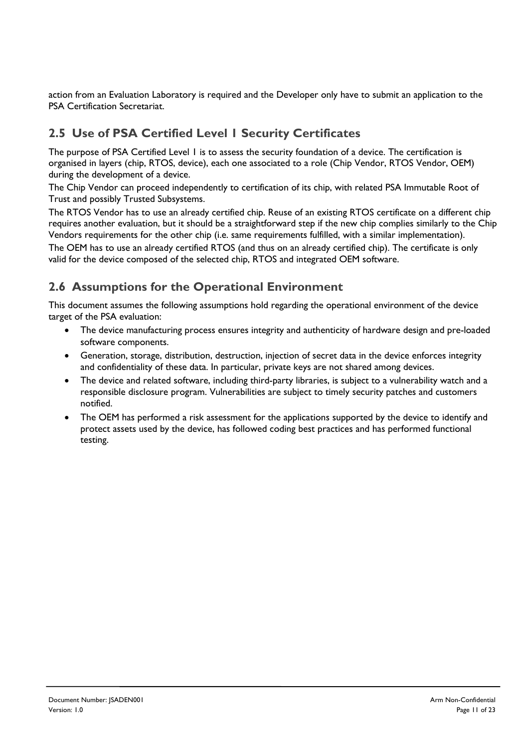action from an Evaluation Laboratory is required and the Developer only have to submit an application to the PSA Certification Secretariat.

#### **2.5 Use of PSA Certified Level 1 Security Certificates**

The purpose of PSA Certified Level 1 is to assess the security foundation of a device. The certification is organised in layers (chip, RTOS, device), each one associated to a role (Chip Vendor, RTOS Vendor, OEM) during the development of a device.

The Chip Vendor can proceed independently to certification of its chip, with related PSA Immutable Root of Trust and possibly Trusted Subsystems.

The RTOS Vendor has to use an already certified chip. Reuse of an existing RTOS certificate on a different chip requires another evaluation, but it should be a straightforward step if the new chip complies similarly to the Chip Vendors requirements for the other chip (i.e. same requirements fulfilled, with a similar implementation).

The OEM has to use an already certified RTOS (and thus on an already certified chip). The certificate is only valid for the device composed of the selected chip, RTOS and integrated OEM software.

#### **2.6 Assumptions for the Operational Environment**

This document assumes the following assumptions hold regarding the operational environment of the device target of the PSA evaluation:

- The device manufacturing process ensures integrity and authenticity of hardware design and pre-loaded software components.
- Generation, storage, distribution, destruction, injection of secret data in the device enforces integrity and confidentiality of these data. In particular, private keys are not shared among devices.
- The device and related software, including third-party libraries, is subject to a vulnerability watch and a responsible disclosure program. Vulnerabilities are subject to timely security patches and customers notified.
- The OEM has performed a risk assessment for the applications supported by the device to identify and protect assets used by the device, has followed coding best practices and has performed functional testing.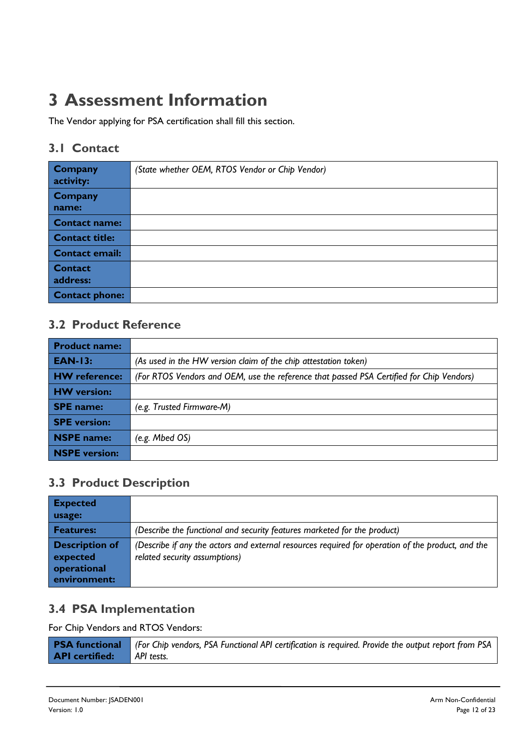### **3 Assessment Information**

The Vendor applying for PSA certification shall fill this section.

#### **3.1 Contact**

| <b>Company</b><br>activity: | (State whether OEM, RTOS Vendor or Chip Vendor) |
|-----------------------------|-------------------------------------------------|
| <b>Company</b><br>name:     |                                                 |
| <b>Contact name:</b>        |                                                 |
| <b>Contact title:</b>       |                                                 |
| <b>Contact email:</b>       |                                                 |
| <b>Contact</b><br>address:  |                                                 |
| <b>Contact phone:</b>       |                                                 |

#### **3.2 Product Reference**

| <b>Product name:</b> |                                                                                          |
|----------------------|------------------------------------------------------------------------------------------|
| <b>EAN-13:</b>       | (As used in the HW version claim of the chip attestation token)                          |
| <b>HW</b> reference: | (For RTOS Vendors and OEM, use the reference that passed PSA Certified for Chip Vendors) |
| <b>HW</b> version:   |                                                                                          |
| <b>SPE</b> name:     | (e.g. Trusted Firmware-M)                                                                |
| <b>SPE</b> version:  |                                                                                          |
| NSPE name:           | (e.g. Mbed $OS$ )                                                                        |
| <b>NSPE</b> version: |                                                                                          |

### **3.3 Product Description**

| <b>Expected</b><br>usage:                                        |                                                                                                                                    |
|------------------------------------------------------------------|------------------------------------------------------------------------------------------------------------------------------------|
| <b>Features:</b>                                                 | (Describe the functional and security features marketed for the product)                                                           |
| <b>Description of</b><br>expected<br>operational<br>environment: | (Describe if any the actors and external resources required for operation of the product, and the<br>related security assumptions) |

#### **3.4 PSA Implementation**

For Chip Vendors and RTOS Vendors:

|                                  | <b>PSA functional</b> (For Chip vendors, PSA Functional API certification is required. Provide the output report from PSA |
|----------------------------------|---------------------------------------------------------------------------------------------------------------------------|
| <b>API certified:</b> API tests. |                                                                                                                           |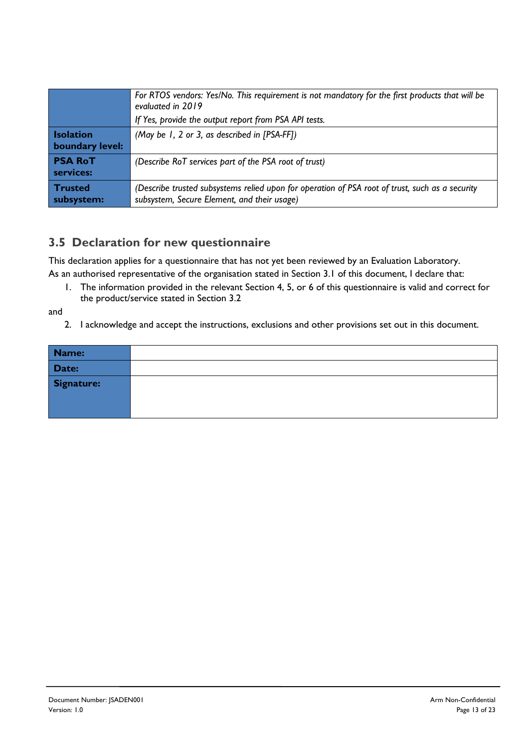|                                     | For RTOS vendors: Yes/No. This requirement is not mandatory for the first products that will be<br>evaluated in 2019<br>If Yes, provide the output report from PSA API tests. |
|-------------------------------------|-------------------------------------------------------------------------------------------------------------------------------------------------------------------------------|
| <b>Isolation</b><br>boundary level: | (May be 1, 2 or 3, as described in [PSA-FF])                                                                                                                                  |
| <b>PSA RoT</b><br>services:         | (Describe RoT services part of the PSA root of trust)                                                                                                                         |
| Trusted<br>subsystem:               | (Describe trusted subsystems relied upon for operation of PSA root of trust, such as a security<br>subsystem, Secure Element, and their usage)                                |

#### **3.5 Declaration for new questionnaire**

This declaration applies for a questionnaire that has not yet been reviewed by an Evaluation Laboratory. As an authorised representative of the organisation stated in Section 3.1 of this document, I declare that:

1. The information provided in the relevant Section 4, 5, or 6 of this questionnaire is valid and correct for the product/service stated in Section 3.2

and

2. I acknowledge and accept the instructions, exclusions and other provisions set out in this document.

| Name:      |  |
|------------|--|
| Date:      |  |
| Signature: |  |
|            |  |
|            |  |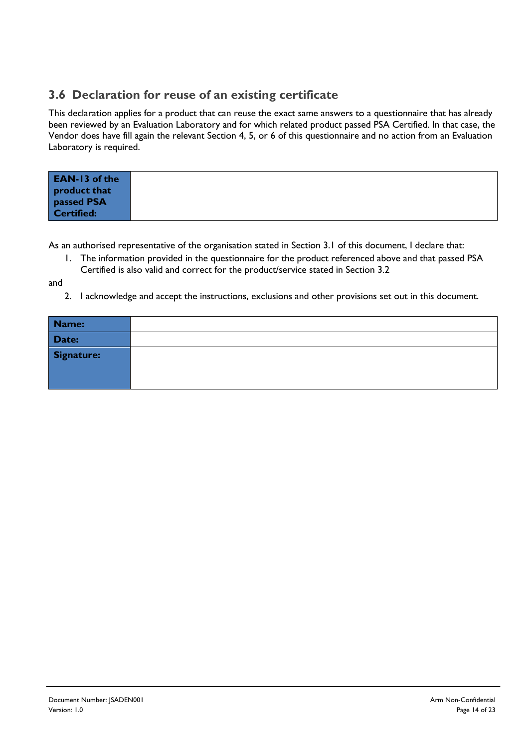#### **3.6 Declaration for reuse of an existing certificate**

This declaration applies for a product that can reuse the exact same answers to a questionnaire that has already been reviewed by an Evaluation Laboratory and for which related product passed PSA Certified. In that case, the Vendor does have fill again the relevant Section 4, 5, or 6 of this questionnaire and no action from an Evaluation Laboratory is required.

| <b>EAN-13 of the</b><br>product that |  |
|--------------------------------------|--|
| passed PSA<br>Certified:             |  |

As an authorised representative of the organisation stated in Section 3.1 of this document, I declare that:

1. The information provided in the questionnaire for the product referenced above and that passed PSA Certified is also valid and correct for the product/service stated in Section 3.2

and

2. I acknowledge and accept the instructions, exclusions and other provisions set out in this document.

| Name:             |  |
|-------------------|--|
| Date:             |  |
| <b>Signature:</b> |  |
|                   |  |
|                   |  |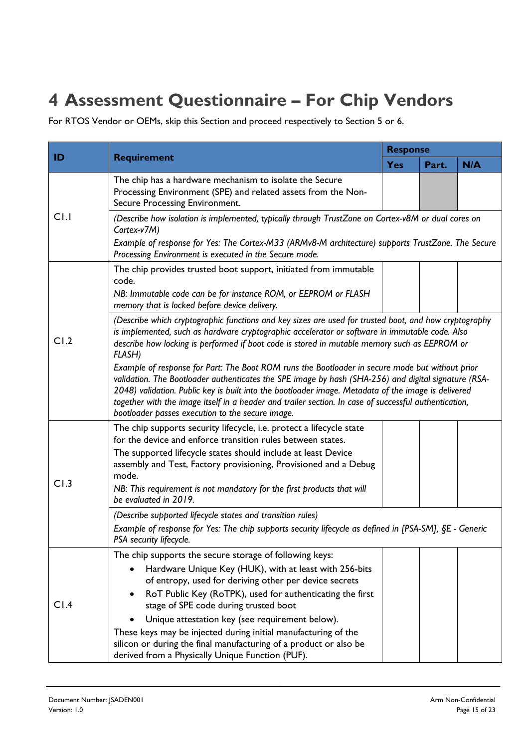### **4 Assessment Questionnaire – For Chip Vendors**

For RTOS Vendor or OEMs, skip this Section and proceed respectively to Section 5 or 6.

| ID   | <b>Requirement</b>                                                                                                                                                                                                                                                                                                                                                                                                                                                          | <b>Response</b> |       |     |  |
|------|-----------------------------------------------------------------------------------------------------------------------------------------------------------------------------------------------------------------------------------------------------------------------------------------------------------------------------------------------------------------------------------------------------------------------------------------------------------------------------|-----------------|-------|-----|--|
|      |                                                                                                                                                                                                                                                                                                                                                                                                                                                                             | <b>Yes</b>      | Part. | N/A |  |
|      | The chip has a hardware mechanism to isolate the Secure<br>Processing Environment (SPE) and related assets from the Non-<br>Secure Processing Environment.                                                                                                                                                                                                                                                                                                                  |                 |       |     |  |
| C1.1 | (Describe how isolation is implemented, typically through TrustZone on Cortex-v8M or dual cores on<br>Cortex-v7M)                                                                                                                                                                                                                                                                                                                                                           |                 |       |     |  |
|      | Example of response for Yes: The Cortex-M33 (ARMv8-M architecture) supports TrustZone. The Secure<br>Processing Environment is executed in the Secure mode.                                                                                                                                                                                                                                                                                                                 |                 |       |     |  |
|      | The chip provides trusted boot support, initiated from immutable<br>code.<br>NB: Immutable code can be for instance ROM, or EEPROM or FLASH<br>memory that is locked before device delivery.                                                                                                                                                                                                                                                                                |                 |       |     |  |
| CI.2 | (Describe which cryptographic functions and key sizes are used for trusted boot, and how cryptography<br>is implemented, such as hardware cryptographic accelerator or software in immutable code. Also<br>describe how locking is performed if boot code is stored in mutable memory such as EEPROM or<br><b>FLASH)</b>                                                                                                                                                    |                 |       |     |  |
|      | Example of response for Part: The Boot ROM runs the Bootloader in secure mode but without prior<br>validation. The Bootloader authenticates the SPE image by hash (SHA-256) and digital signature (RSA-<br>2048) validation. Public key is built into the bootloader image. Metadata of the image is delivered<br>together with the image itself in a header and trailer section. In case of successful authentication,<br>bootloader passes execution to the secure image. |                 |       |     |  |
|      | The chip supports security lifecycle, i.e. protect a lifecycle state<br>for the device and enforce transition rules between states.                                                                                                                                                                                                                                                                                                                                         |                 |       |     |  |
|      | The supported lifecycle states should include at least Device<br>assembly and Test, Factory provisioning, Provisioned and a Debug<br>mode.                                                                                                                                                                                                                                                                                                                                  |                 |       |     |  |
| CI.3 | NB: This requirement is not mandatory for the first products that will<br>be evaluated in 2019.                                                                                                                                                                                                                                                                                                                                                                             |                 |       |     |  |
|      | (Describe supported lifecycle states and transition rules)<br>Example of response for Yes: The chip supports security lifecycle as defined in [PSA-SM], §E - Generic<br>PSA security lifecycle.                                                                                                                                                                                                                                                                             |                 |       |     |  |
|      | The chip supports the secure storage of following keys:<br>Hardware Unique Key (HUK), with at least with 256-bits                                                                                                                                                                                                                                                                                                                                                           |                 |       |     |  |
| C1.4 | of entropy, used for deriving other per device secrets                                                                                                                                                                                                                                                                                                                                                                                                                      |                 |       |     |  |
|      | RoT Public Key (RoTPK), used for authenticating the first<br>stage of SPE code during trusted boot                                                                                                                                                                                                                                                                                                                                                                          |                 |       |     |  |
|      | Unique attestation key (see requirement below).                                                                                                                                                                                                                                                                                                                                                                                                                             |                 |       |     |  |
|      | These keys may be injected during initial manufacturing of the<br>silicon or during the final manufacturing of a product or also be<br>derived from a Physically Unique Function (PUF).                                                                                                                                                                                                                                                                                     |                 |       |     |  |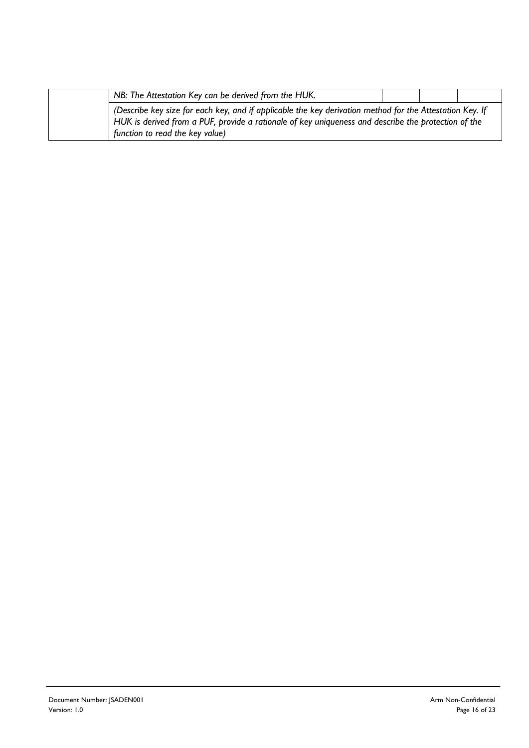| NB: The Attestation Key can be derived from the HUK.                                                                                                                                                            |  |  |
|-----------------------------------------------------------------------------------------------------------------------------------------------------------------------------------------------------------------|--|--|
| (Describe key size for each key, and if applicable the key derivation method for the Attestation Key. If<br>HUK is derived from a PUF, provide a rationale of key uniqueness and describe the protection of the |  |  |
| function to read the key value)                                                                                                                                                                                 |  |  |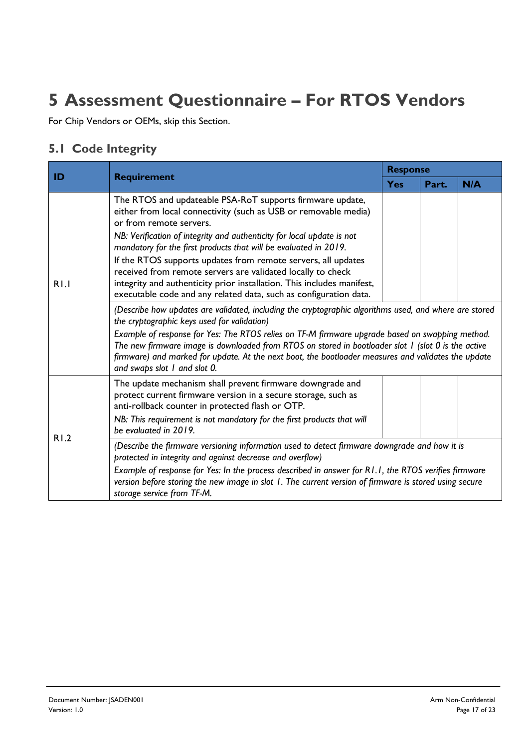### **5 Assessment Questionnaire – For RTOS Vendors**

For Chip Vendors or OEMs, skip this Section.

#### **5.1 Code Integrity**

| ID   | <b>Requirement</b>                                                                                                                                                                                                                                                                                                                                                                                                                                                                                                                                                                                                                                                                                                                                                                                                                               | <b>Response</b> |       |     |  |
|------|--------------------------------------------------------------------------------------------------------------------------------------------------------------------------------------------------------------------------------------------------------------------------------------------------------------------------------------------------------------------------------------------------------------------------------------------------------------------------------------------------------------------------------------------------------------------------------------------------------------------------------------------------------------------------------------------------------------------------------------------------------------------------------------------------------------------------------------------------|-----------------|-------|-----|--|
|      |                                                                                                                                                                                                                                                                                                                                                                                                                                                                                                                                                                                                                                                                                                                                                                                                                                                  | <b>Yes</b>      | Part. | N/A |  |
| R1.1 | The RTOS and updateable PSA-RoT supports firmware update,<br>either from local connectivity (such as USB or removable media)<br>or from remote servers.<br>NB: Verification of integrity and authenticity for local update is not<br>mandatory for the first products that will be evaluated in 2019.<br>If the RTOS supports updates from remote servers, all updates<br>received from remote servers are validated locally to check<br>integrity and authenticity prior installation. This includes manifest,<br>executable code and any related data, such as configuration data.<br>(Describe how updates are validated, including the cryptographic algorithms used, and where are stored<br>the cryptographic keys used for validation)<br>Example of response for Yes: The RTOS relies on TF-M firmware upgrade based on swapping method. |                 |       |     |  |
|      | The new firmware image is downloaded from RTOS on stored in bootloader slot I (slot 0 is the active<br>firmware) and marked for update. At the next boot, the bootloader measures and validates the update<br>and swaps slot I and slot 0.                                                                                                                                                                                                                                                                                                                                                                                                                                                                                                                                                                                                       |                 |       |     |  |
|      | The update mechanism shall prevent firmware downgrade and<br>protect current firmware version in a secure storage, such as<br>anti-rollback counter in protected flash or OTP.                                                                                                                                                                                                                                                                                                                                                                                                                                                                                                                                                                                                                                                                   |                 |       |     |  |
|      | NB: This requirement is not mandatory for the first products that will<br>be evaluated in 2019.                                                                                                                                                                                                                                                                                                                                                                                                                                                                                                                                                                                                                                                                                                                                                  |                 |       |     |  |
| R1.2 | (Describe the firmware versioning information used to detect firmware downgrade and how it is<br>protected in integrity and against decrease and overflow)<br>Example of response for Yes: In the process described in answer for R1.1, the RTOS verifies firmware<br>version before storing the new image in slot 1. The current version of firmware is stored using secure<br>storage service from TF-M.                                                                                                                                                                                                                                                                                                                                                                                                                                       |                 |       |     |  |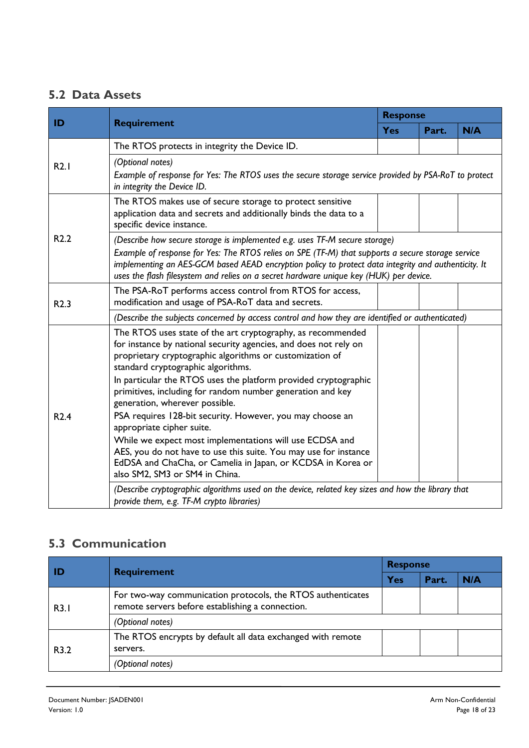#### **5.2 Data Assets**

|                  | <b>Requirement</b>                                                                                                                                                                                                                                                                                                                                                                                                                                                                                                                                        | <b>Response</b> |       |     |  |
|------------------|-----------------------------------------------------------------------------------------------------------------------------------------------------------------------------------------------------------------------------------------------------------------------------------------------------------------------------------------------------------------------------------------------------------------------------------------------------------------------------------------------------------------------------------------------------------|-----------------|-------|-----|--|
| ID               |                                                                                                                                                                                                                                                                                                                                                                                                                                                                                                                                                           | <b>Yes</b>      | Part. | N/A |  |
|                  | The RTOS protects in integrity the Device ID.                                                                                                                                                                                                                                                                                                                                                                                                                                                                                                             |                 |       |     |  |
| R2.1             | (Optional notes)<br>Example of response for Yes: The RTOS uses the secure storage service provided by PSA-RoT to protect<br>in integrity the Device ID.                                                                                                                                                                                                                                                                                                                                                                                                   |                 |       |     |  |
|                  | The RTOS makes use of secure storage to protect sensitive<br>application data and secrets and additionally binds the data to a<br>specific device instance.                                                                                                                                                                                                                                                                                                                                                                                               |                 |       |     |  |
| R <sub>2.2</sub> | (Describe how secure storage is implemented e.g. uses TF-M secure storage)<br>Example of response for Yes: The RTOS relies on SPE (TF-M) that supports a secure storage service<br>implementing an AES-GCM based AEAD encryption policy to protect data integrity and authenticity. It<br>uses the flash filesystem and relies on a secret hardware unique key (HUK) per device.                                                                                                                                                                          |                 |       |     |  |
| R <sub>2.3</sub> | The PSA-RoT performs access control from RTOS for access,<br>modification and usage of PSA-RoT data and secrets.                                                                                                                                                                                                                                                                                                                                                                                                                                          |                 |       |     |  |
|                  | (Describe the subjects concerned by access control and how they are identified or authenticated)                                                                                                                                                                                                                                                                                                                                                                                                                                                          |                 |       |     |  |
| R <sub>2.4</sub> | The RTOS uses state of the art cryptography, as recommended<br>for instance by national security agencies, and does not rely on<br>proprietary cryptographic algorithms or customization of<br>standard cryptographic algorithms.<br>In particular the RTOS uses the platform provided cryptographic<br>primitives, including for random number generation and key<br>generation, wherever possible.<br>PSA requires 128-bit security. However, you may choose an<br>appropriate cipher suite.<br>While we expect most implementations will use ECDSA and |                 |       |     |  |
|                  | AES, you do not have to use this suite. You may use for instance<br>EdDSA and ChaCha, or Camelia in Japan, or KCDSA in Korea or<br>also SM2, SM3 or SM4 in China.<br>(Describe cryptographic algorithms used on the device, related key sizes and how the library that                                                                                                                                                                                                                                                                                    |                 |       |     |  |
|                  | provide them, e.g. TF-M crypto libraries)                                                                                                                                                                                                                                                                                                                                                                                                                                                                                                                 |                 |       |     |  |

#### **5.3 Communication**

| ID               | <b>Requirement</b>                                                                                              | <b>Response</b> |       |     |
|------------------|-----------------------------------------------------------------------------------------------------------------|-----------------|-------|-----|
|                  |                                                                                                                 | Yes             | Part. | N/A |
| R3.1             | For two-way communication protocols, the RTOS authenticates<br>remote servers before establishing a connection. |                 |       |     |
|                  | (Optional notes)                                                                                                |                 |       |     |
| R <sub>3.2</sub> | The RTOS encrypts by default all data exchanged with remote<br>servers.                                         |                 |       |     |
|                  | (Optional notes)                                                                                                |                 |       |     |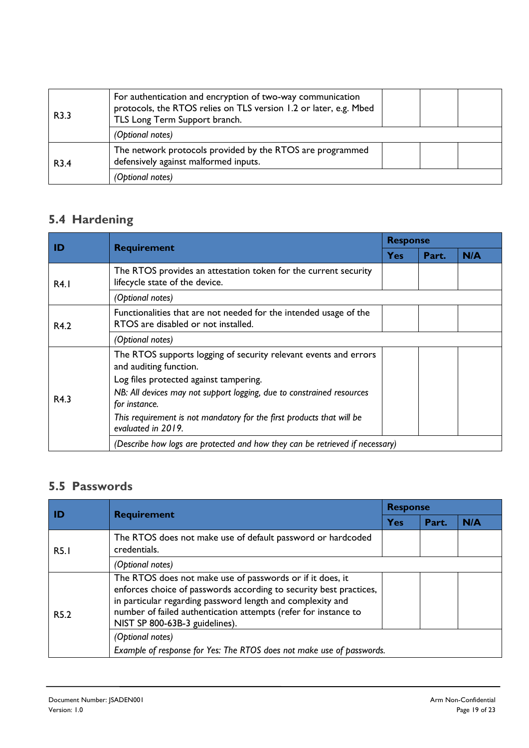| R3.3             | For authentication and encryption of two-way communication<br>protocols, the RTOS relies on TLS version 1.2 or later, e.g. Mbed<br>TLS Long Term Support branch. |  |
|------------------|------------------------------------------------------------------------------------------------------------------------------------------------------------------|--|
|                  | (Optional notes)                                                                                                                                                 |  |
| R <sub>3.4</sub> | The network protocols provided by the RTOS are programmed<br>defensively against malformed inputs.                                                               |  |
|                  | (Optional notes)                                                                                                                                                 |  |

#### **5.4 Hardening**

|      |                                                                                                                                      | <b>Response</b> |       |     |
|------|--------------------------------------------------------------------------------------------------------------------------------------|-----------------|-------|-----|
| ID   | <b>Requirement</b>                                                                                                                   | <b>Yes</b>      | Part. | N/A |
| R4.1 | The RTOS provides an attestation token for the current security<br>lifecycle state of the device.                                    |                 |       |     |
|      | (Optional notes)                                                                                                                     |                 |       |     |
| R4.2 | Functionalities that are not needed for the intended usage of the<br>RTOS are disabled or not installed.                             |                 |       |     |
|      | (Optional notes)                                                                                                                     |                 |       |     |
| R4.3 | The RTOS supports logging of security relevant events and errors<br>and auditing function.<br>Log files protected against tampering. |                 |       |     |
|      | NB: All devices may not support logging, due to constrained resources<br>for instance.                                               |                 |       |     |
|      | This requirement is not mandatory for the first products that will be<br>evaluated in 2019.                                          |                 |       |     |
|      | (Describe how logs are protected and how they can be retrieved if necessary)                                                         |                 |       |     |

#### **5.5 Passwords**

| ID               |                                                                                                                                                                                                                                                                                                    | <b>Response</b> |       |     |  |
|------------------|----------------------------------------------------------------------------------------------------------------------------------------------------------------------------------------------------------------------------------------------------------------------------------------------------|-----------------|-------|-----|--|
|                  | <b>Requirement</b>                                                                                                                                                                                                                                                                                 | Yes             | Part. | N/A |  |
| <b>R5.1</b>      | The RTOS does not make use of default password or hardcoded<br>credentials.                                                                                                                                                                                                                        |                 |       |     |  |
|                  | (Optional notes)                                                                                                                                                                                                                                                                                   |                 |       |     |  |
| R <sub>5.2</sub> | The RTOS does not make use of passwords or if it does, it<br>enforces choice of passwords according to security best practices,<br>in particular regarding password length and complexity and<br>number of failed authentication attempts (refer for instance to<br>NIST SP 800-63B-3 guidelines). |                 |       |     |  |
|                  | (Optional notes)<br>Example of response for Yes: The RTOS does not make use of passwords.                                                                                                                                                                                                          |                 |       |     |  |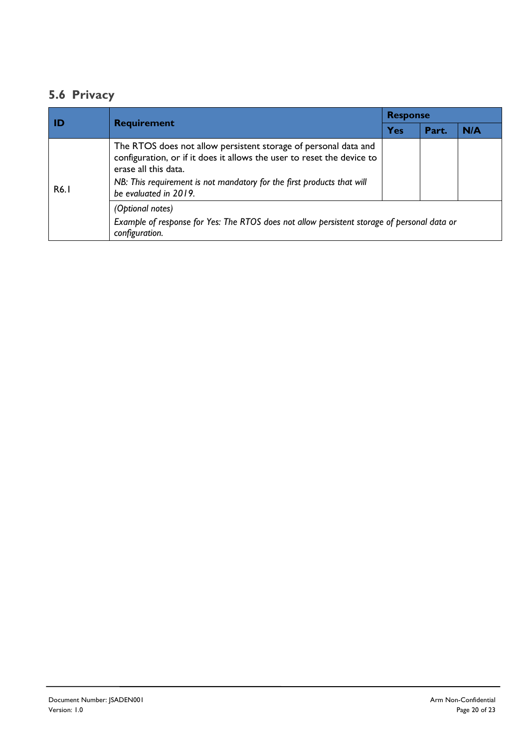#### **5.6 Privacy**

| <b>ID</b> | <b>Requirement</b>                                                                                                                                                                                                                                                   | <b>Response</b> |       |     |  |
|-----------|----------------------------------------------------------------------------------------------------------------------------------------------------------------------------------------------------------------------------------------------------------------------|-----------------|-------|-----|--|
|           |                                                                                                                                                                                                                                                                      | Yes             | Part. | N/A |  |
| R6.1      | The RTOS does not allow persistent storage of personal data and<br>configuration, or if it does it allows the user to reset the device to<br>erase all this data.<br>NB: This requirement is not mandatory for the first products that will<br>be evaluated in 2019. |                 |       |     |  |
|           | (Optional notes)<br>Example of response for Yes: The RTOS does not allow persistent storage of personal data or<br>configuration.                                                                                                                                    |                 |       |     |  |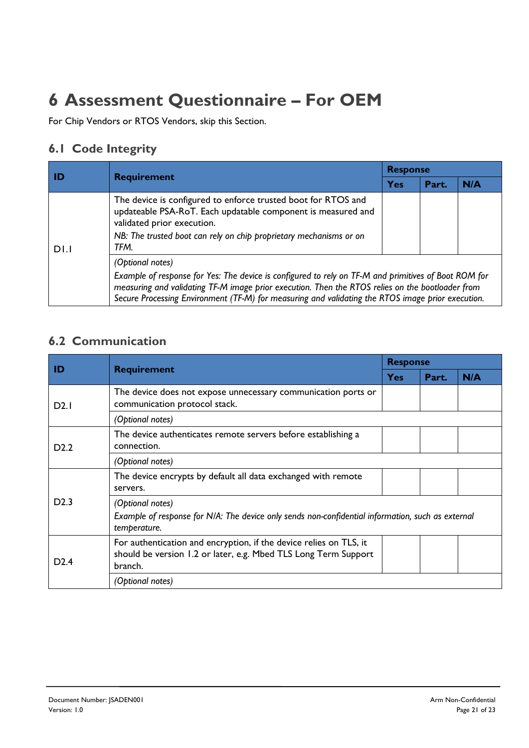### **6 Assessment Questionnaire – For OEM**

For Chip Vendors or RTOS Vendors, skip this Section.

#### **6.1 Code Integrity**

| l ID | <b>Requirement</b>                                                                                                                                                                                                                                                                                                                | <b>Response</b> |       |     |  |
|------|-----------------------------------------------------------------------------------------------------------------------------------------------------------------------------------------------------------------------------------------------------------------------------------------------------------------------------------|-----------------|-------|-----|--|
|      |                                                                                                                                                                                                                                                                                                                                   | Yes             | Part. | N/A |  |
| DI.I | The device is configured to enforce trusted boot for RTOS and<br>updateable PSA-RoT. Each updatable component is measured and<br>validated prior execution.<br>NB: The trusted boot can rely on chip proprietary mechanisms or on<br>TFM.                                                                                         |                 |       |     |  |
|      | (Optional notes)<br>Example of response for Yes: The device is configured to rely on TF-M and primitives of Boot ROM for<br>measuring and validating TF-M image prior execution. Then the RTOS relies on the bootloader from<br>Secure Processing Environment (TF-M) for measuring and validating the RTOS image prior execution. |                 |       |     |  |

#### **6.2 Communication**

| ID               | <b>Requirement</b>                                                                                                                               | <b>Response</b> |       |     |  |
|------------------|--------------------------------------------------------------------------------------------------------------------------------------------------|-----------------|-------|-----|--|
|                  |                                                                                                                                                  | <b>Yes</b>      | Part. | N/A |  |
| D2.1             | The device does not expose unnecessary communication ports or<br>communication protocol stack.                                                   |                 |       |     |  |
|                  | (Optional notes)                                                                                                                                 |                 |       |     |  |
| D <sub>2.2</sub> | The device authenticates remote servers before establishing a<br>connection.                                                                     |                 |       |     |  |
|                  | (Optional notes)                                                                                                                                 |                 |       |     |  |
| D2.3             | The device encrypts by default all data exchanged with remote<br>servers.                                                                        |                 |       |     |  |
|                  | (Optional notes)<br>Example of response for N/A: The device only sends non-confidential information, such as external<br>temperature.            |                 |       |     |  |
| D2.4             | For authentication and encryption, if the device relies on TLS, it<br>should be version 1.2 or later, e.g. Mbed TLS Long Term Support<br>branch. |                 |       |     |  |
|                  | (Optional notes)                                                                                                                                 |                 |       |     |  |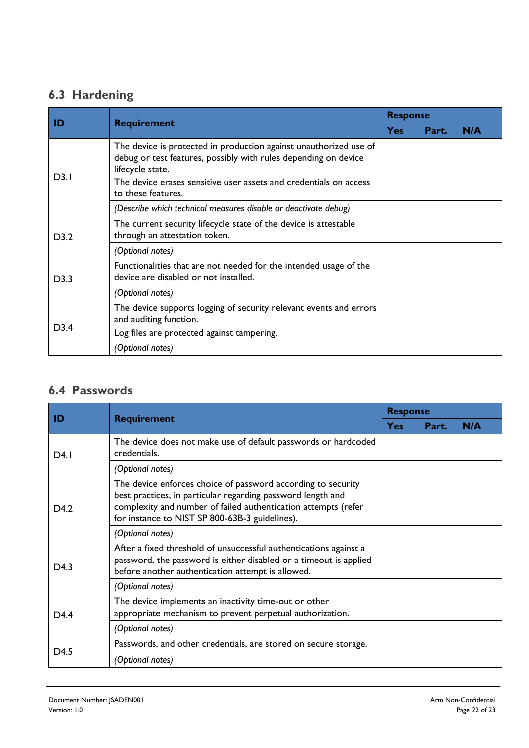#### **6.3 Hardening**

| ID   | <b>Requirement</b>                                                                                                                                                                                                                                  | <b>Response</b> |       |     |
|------|-----------------------------------------------------------------------------------------------------------------------------------------------------------------------------------------------------------------------------------------------------|-----------------|-------|-----|
|      |                                                                                                                                                                                                                                                     | <b>Yes</b>      | Part. | N/A |
| D3.1 | The device is protected in production against unauthorized use of<br>debug or test features, possibly with rules depending on device<br>lifecycle state.<br>The device erases sensitive user assets and credentials on access<br>to these features. |                 |       |     |
|      | (Describe which technical measures disable or deactivate debug)                                                                                                                                                                                     |                 |       |     |
| D3.2 | The current security lifecycle state of the device is attestable<br>through an attestation token.                                                                                                                                                   |                 |       |     |
|      | (Optional notes)                                                                                                                                                                                                                                    |                 |       |     |
| D3.3 | Functionalities that are not needed for the intended usage of the<br>device are disabled or not installed.                                                                                                                                          |                 |       |     |
|      | (Optional notes)                                                                                                                                                                                                                                    |                 |       |     |
| D3.4 | The device supports logging of security relevant events and errors<br>and auditing function.<br>Log files are protected against tampering.                                                                                                          |                 |       |     |
|      | (Optional notes)                                                                                                                                                                                                                                    |                 |       |     |

#### **6.4 Passwords**

| ID               | <b>Requirement</b>                                                                                                                                                                                                                              | <b>Response</b> |       |     |
|------------------|-------------------------------------------------------------------------------------------------------------------------------------------------------------------------------------------------------------------------------------------------|-----------------|-------|-----|
|                  |                                                                                                                                                                                                                                                 | <b>Yes</b>      | Part. | N/A |
| D4.1             | The device does not make use of default passwords or hardcoded<br>credentials.                                                                                                                                                                  |                 |       |     |
|                  | (Optional notes)                                                                                                                                                                                                                                |                 |       |     |
| D <sub>4.2</sub> | The device enforces choice of password according to security<br>best practices, in particular regarding password length and<br>complexity and number of failed authentication attempts (refer<br>for instance to NIST SP 800-63B-3 guidelines). |                 |       |     |
|                  | (Optional notes)                                                                                                                                                                                                                                |                 |       |     |
| D <sub>4.3</sub> | After a fixed threshold of unsuccessful authentications against a<br>password, the password is either disabled or a timeout is applied<br>before another authentication attempt is allowed.                                                     |                 |       |     |
|                  | (Optional notes)                                                                                                                                                                                                                                |                 |       |     |
| D <sub>4.4</sub> | The device implements an inactivity time-out or other<br>appropriate mechanism to prevent perpetual authorization.                                                                                                                              |                 |       |     |
|                  | (Optional notes)                                                                                                                                                                                                                                |                 |       |     |
| D <sub>4.5</sub> | Passwords, and other credentials, are stored on secure storage.                                                                                                                                                                                 |                 |       |     |
|                  | (Optional notes)                                                                                                                                                                                                                                |                 |       |     |